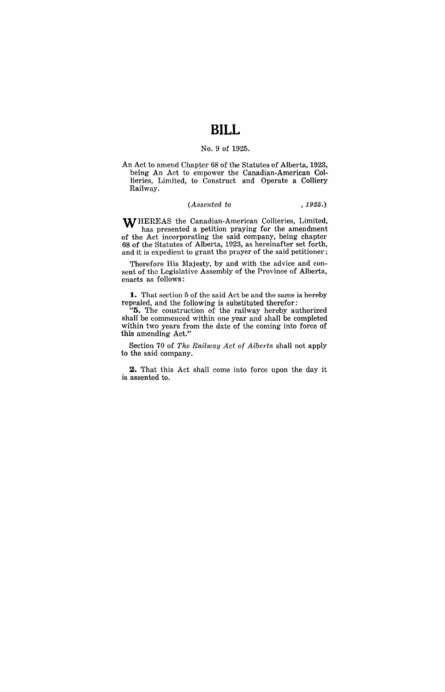## **BILL**

## No.9 of 1925.

An Act to amend Chapter 68 of the Statutes of Alberta, 1923, being An Act to empower the Canadian-American Collieries, Limited, to Construct and Operate a Colliery Railway.

## *(Assented to* ,1925.)

WHEREAS the Canadian-American Collieries, Limited, has presented a petition praying for the amendment of the Act incorporating the said company, being chapter 68 of the Statutes of Alberta, 1923, as hereinafter set forth, and it is expedient to grant the prayer of the said petitioner;

Therefore His Majesty, by and with the advice and consent of the Legislative Assembly of the Province of Alberta, enacts as follows:

**1..** That section 5 of the said Act be and the same is hereby repealed, and the following is substituted therefor:

"5. The construction of the railway hereby authorized shall be commenced within one year and shall be completed within two years from the date of the coming into force of this amending Act."

Section 70 of *The Railway Act of Alberta* shall not apply to the said company.

**2.** That this Act shall come into force upon the day it is assented to.